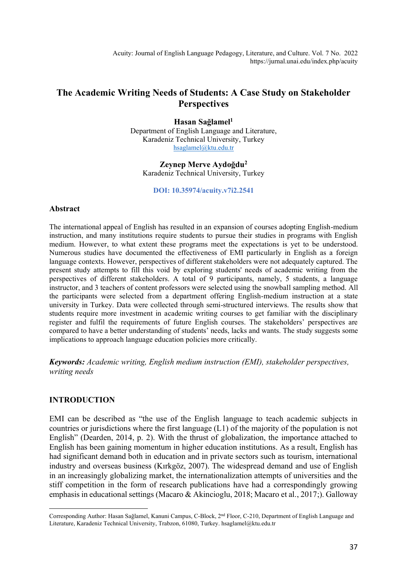Acuity: Journal of English Language Pedagogy, Literature, and Culture. Vol. 7 No. 2022 https://jurnal.unai.edu/index.php/acuity

# **The Academic Writing Needs of Students: A Case Study on Stakeholder Perspectives**

**Hasan Sağlamel<sup>1</sup>** Department of English Language and Literature, Karadeniz Technical University, Turkey [hsaglamel@ktu.edu.tr](mailto:hsaglamel@ktu.edu.tr)

**Zeynep Merve Aydoğdu<sup>2</sup>** Karadeniz Technical University, Turkey

**DOI: 10.35974/acuity.v7i2.2541**

#### **Abstract**

The international appeal of English has resulted in an expansion of courses adopting English-medium instruction, and many institutions require students to pursue their studies in programs with English medium. However, to what extent these programs meet the expectations is yet to be understood. Numerous studies have documented the effectiveness of EMI particularly in English as a foreign language contexts. However, perspectives of different stakeholders were not adequately captured. The present study attempts to fill this void by exploring students' needs of academic writing from the perspectives of different stakeholders. A total of 9 participants, namely, 5 students, a language instructor, and 3 teachers of content professors were selected using the snowball sampling method. All the participants were selected from a department offering English-medium instruction at a state university in Turkey. Data were collected through semi-structured interviews. The results show that students require more investment in academic writing courses to get familiar with the disciplinary register and fulfil the requirements of future English courses. The stakeholders' perspectives are compared to have a better understanding of students' needs, lacks and wants. The study suggests some implications to approach language education policies more critically.

*Keywords: Academic writing, English medium instruction (EMI), stakeholder perspectives, writing needs*

#### **INTRODUCTION**

EMI can be described as "the use of the English language to teach academic subjects in countries or jurisdictions where the first language (L1) of the majority of the population is not English" (Dearden, 2014, p. 2). With the thrust of globalization, the importance attached to English has been gaining momentum in higher education institutions. As a result, English has had significant demand both in education and in private sectors such as tourism, international industry and overseas business (Kırkgöz, 2007). The widespread demand and use of English in an increasingly globalizing market, the internationalization attempts of universities and the stiff competition in the form of research publications have had a correspondingly growing emphasis in educational settings (Macaro & Akincioglu, 2018; Macaro et al., 2017;). Galloway

Corresponding Author: Hasan Sağlamel, Kanuni Campus, C-Block, 2<sup>nd</sup> Floor, C-210, Department of English Language and Literature, Karadeniz Technical University, Trabzon, 61080, Turkey. hsaglamel@ktu.edu.tr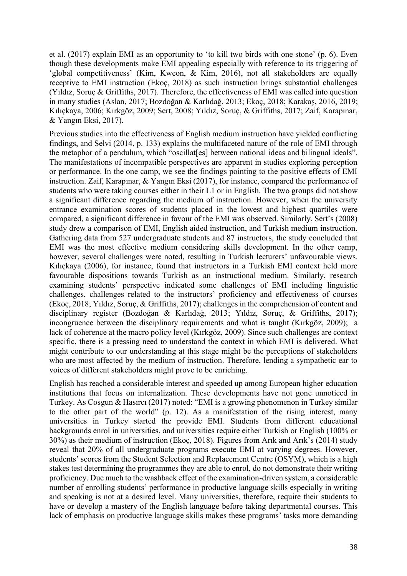et al. (2017) explain EMI as an opportunity to 'to kill two birds with one stone' (p. 6). Even though these developments make EMI appealing especially with reference to its triggering of 'global competitiveness' (Kim, Kweon, & Kim, 2016), not all stakeholders are equally receptive to EMI instruction (Ekoç, 2018) as such instruction brings substantial challenges (Yıldız, Soruç & Griffiths, 2017). Therefore, the effectiveness of EMI was called into question in many studies (Aslan, 2017; Bozdoğan & Karlıdağ, 2013; Ekoç, 2018; Karakaş, 2016, 2019; Kılıçkaya, 2006; Kırkgöz, 2009; Sert, 2008; Yıldız, Soruç, & Griffiths, 2017; Zaif, Karapınar, & Yangın Eksi, 2017).

Previous studies into the effectiveness of English medium instruction have yielded conflicting findings, and Selvi (2014, p. 133) explains the multifaceted nature of the role of EMI through the metaphor of a pendulum, which "oscillat[es] between national ideas and bilingual ideals". The manifestations of incompatible perspectives are apparent in studies exploring perception or performance. In the one camp, we see the findings pointing to the positive effects of EMI instruction. Zaif, Karapınar, & Yangın Eksi (2017), for instance, compared the performance of students who were taking courses either in their L1 or in English. The two groups did not show a significant difference regarding the medium of instruction. However, when the university entrance examination scores of students placed in the lowest and highest quartiles were compared, a significant difference in favour of the EMI was observed. Similarly, Sert's (2008) study drew a comparison of EMI, English aided instruction, and Turkish medium instruction. Gathering data from 527 undergraduate students and 87 instructors, the study concluded that EMI was the most effective medium considering skills development. In the other camp, however, several challenges were noted, resulting in Turkish lecturers' unfavourable views. Kılıçkaya (2006), for instance, found that instructors in a Turkish EMI context held more favourable dispositions towards Turkish as an instructional medium. Similarly, research examining students' perspective indicated some challenges of EMI including linguistic challenges, challenges related to the instructors' proficiency and effectiveness of courses (Ekoç, 2018; Yıldız, Soruç, & Griffiths, 2017); challenges in the comprehension of content and disciplinary register (Bozdoğan & Karlıdağ, 2013; Yıldız, Soruç, & Griffiths, 2017); incongruence between the disciplinary requirements and what is taught (Kırkgöz, 2009); a lack of coherence at the macro policy level (Kırkgöz, 2009). Since such challenges are context specific, there is a pressing need to understand the context in which EMI is delivered. What might contribute to our understanding at this stage might be the perceptions of stakeholders who are most affected by the medium of instruction. Therefore, lending a sympathetic ear to voices of different stakeholders might prove to be enriching.

English has reached a considerable interest and speeded up among European higher education institutions that focus on internalization. These developments have not gone unnoticed in Turkey. As Cosgun & Hasırcı (2017) noted: "EMI is a growing phenomenon in Turkey similar to the other part of the world" (p. 12). As a manifestation of the rising interest, many universities in Turkey started the provide EMI. Students from different educational backgrounds enrol in universities, and universities require either Turkish or English (100% or 30%) as their medium of instruction (Ekoç, 2018). Figures from Arık and Arık's (2014) study reveal that 20% of all undergraduate programs execute EMI at varying degrees. However, students' scores from the Student Selection and Replacement Centre (OSYM), which is a high stakes test determining the programmes they are able to enrol, do not demonstrate their writing proficiency. Due much to the washback effect of the examination-driven system, a considerable number of enrolling students' performance in productive language skills especially in writing and speaking is not at a desired level. Many universities, therefore, require their students to have or develop a mastery of the English language before taking departmental courses. This lack of emphasis on productive language skills makes these programs' tasks more demanding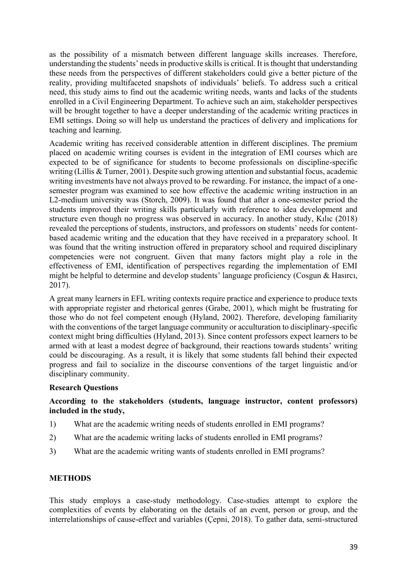as the possibility of a mismatch between different language skills increases. Therefore, understanding the students' needs in productive skills is critical. It is thought that understanding these needs from the perspectives of different stakeholders could give a better picture of the reality, providing multifaceted snapshots of individuals' beliefs. To address such a critical need, this study aims to find out the academic writing needs, wants and lacks of the students enrolled in a Civil Engineering Department. To achieve such an aim, stakeholder perspectives will be brought together to have a deeper understanding of the academic writing practices in EMI settings. Doing so will help us understand the practices of delivery and implications for teaching and learning.

Academic writing has received considerable attention in different disciplines. The premium placed on academic writing courses is evident in the integration of EMI courses which are expected to be of significance for students to become professionals on discipline-specific writing (Lillis & Turner, 2001). Despite such growing attention and substantial focus, academic writing investments have not always proved to be rewarding. For instance, the impact of a onesemester program was examined to see how effective the academic writing instruction in an L2-medium university was (Storch, 2009). It was found that after a one-semester period the students improved their writing skills particularly with reference to idea development and structure even though no progress was observed in accuracy. In another study, Kılıc (2018) revealed the perceptions of students, instructors, and professors on students' needs for contentbased academic writing and the education that they have received in a preparatory school. It was found that the writing instruction offered in preparatory school and required disciplinary competencies were not congruent. Given that many factors might play a role in the effectiveness of EMI, identification of perspectives regarding the implementation of EMI might be helpful to determine and develop students' language proficiency (Cosgun & Hasırcı, 2017).

A great many learners in EFL writing contexts require practice and experience to produce texts with appropriate register and rhetorical genres (Grabe, 2001), which might be frustrating for those who do not feel competent enough (Hyland, 2002). Therefore, developing familiarity with the conventions of the target language community or acculturation to disciplinary-specific context might bring difficulties (Hyland, 2013). Since content professors expect learners to be armed with at least a modest degree of background, their reactions towards students' writing could be discouraging. As a result, it is likely that some students fall behind their expected progress and fail to socialize in the discourse conventions of the target linguistic and/or disciplinary community.

## **Research Questions**

## **According to the stakeholders (students, language instructor, content professors) included in the study,**

- 1) What are the academic writing needs of students enrolled in EMI programs?
- 2) What are the academic writing lacks of students enrolled in EMI programs?
- 3) What are the academic writing wants of students enrolled in EMI programs?

#### **METHODS**

This study employs a case-study methodology. Case-studies attempt to explore the complexities of events by elaborating on the details of an event, person or group, and the interrelationships of cause-effect and variables (Çepni, 2018). To gather data, semi-structured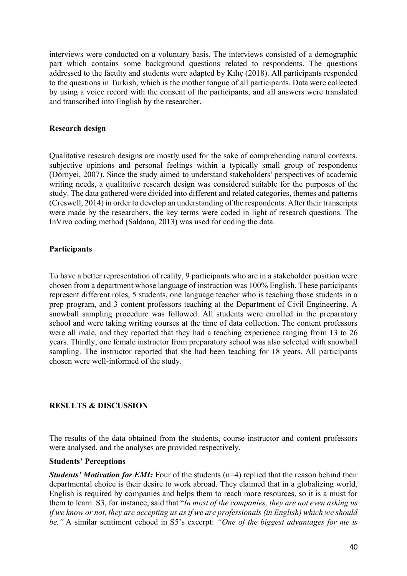interviews were conducted on a voluntary basis. The interviews consisted of a demographic part which contains some background questions related to respondents. The questions addressed to the faculty and students were adapted by Kılıç (2018). All participants responded to the questions in Turkish, which is the mother tongue of all participants. Data were collected by using a voice record with the consent of the participants, and all answers were translated and transcribed into English by the researcher.

#### **Research design**

Qualitative research designs are mostly used for the sake of comprehending natural contexts, subjective opinions and personal feelings within a typically small group of respondents (Dörnyei, 2007). Since the study aimed to understand stakeholders' perspectives of academic writing needs, a qualitative research design was considered suitable for the purposes of the study. The data gathered were divided into different and related categories, themes and patterns (Creswell, 2014) in order to develop an understanding of the respondents. After their transcripts were made by the researchers, the key terms were coded in light of research questions. The InVivo coding method (Saldana, 2013) was used for coding the data.

## **Participants**

To have a better representation of reality, 9 participants who are in a stakeholder position were chosen from a department whose language of instruction was 100% English. These participants represent different roles, 5 students, one language teacher who is teaching those students in a prep program, and 3 content professors teaching at the Department of Civil Engineering. A snowball sampling procedure was followed. All students were enrolled in the preparatory school and were taking writing courses at the time of data collection. The content professors were all male, and they reported that they had a teaching experience ranging from 13 to 26 years. Thirdly, one female instructor from preparatory school was also selected with snowball sampling. The instructor reported that she had been teaching for 18 years. All participants chosen were well-informed of the study.

## **RESULTS & DISCUSSION**

The results of the data obtained from the students, course instructor and content professors were analysed, and the analyses are provided respectively.

## **Students' Perceptions**

*Students' Motivation for EMI:* Four of the students (n=4) replied that the reason behind their departmental choice is their desire to work abroad. They claimed that in a globalizing world, English is required by companies and helps them to reach more resources, so it is a must for them to learn. S3, for instance, said that "*In most of the companies, they are not even asking us if we know or not, they are accepting us as if we are professionals (in English) which we should be."* A similar sentiment echoed in S5's excerpt: *"One of the biggest advantages for me is*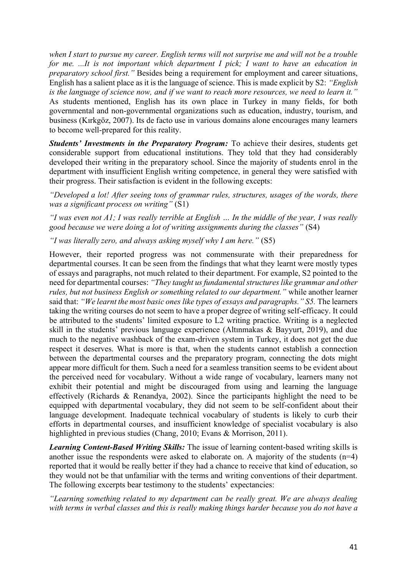*when I start to pursue my career. English terms will not surprise me and will not be a trouble for me. ...It is not important which department I pick; I want to have an education in preparatory school first."* Besides being a requirement for employment and career situations, English has a salient place as it is the language of science. This is made explicit by S2: *"English is the language of science now, and if we want to reach more resources, we need to learn it."*  As students mentioned, English has its own place in Turkey in many fields, for both governmental and non-governmental organizations such as education, industry, tourism, and business (Kırkgöz, 2007). Its de facto use in various domains alone encourages many learners to become well-prepared for this reality.

*Students' Investments in the Preparatory Program:* To achieve their desires, students get considerable support from educational institutions. They told that they had considerably developed their writing in the preparatory school. Since the majority of students enrol in the department with insufficient English writing competence, in general they were satisfied with their progress. Their satisfaction is evident in the following excepts:

*"Developed a lot! After seeing tons of grammar rules, structures, usages of the words, there was a significant process on writing"* (S1)

*"I was even not A1; I was really terrible at English … In the middle of the year, I was really good because we were doing a lot of writing assignments during the classes"* (S4)

*"I was literally zero, and always asking myself why I am here."* (S5)

However, their reported progress was not commensurate with their preparedness for departmental courses. It can be seen from the findings that what they learnt were mostly types of essays and paragraphs, not much related to their department. For example, S2 pointed to the need for departmental courses: *"They taught us fundamental structures like grammar and other rules, but not business English or something related to our department."* while another learner said that: *"We learnt the most basic ones like types of essays and paragraphs." S5.* The learners taking the writing courses do not seem to have a proper degree of writing self-efficacy. It could be attributed to the students' limited exposure to L2 writing practice. Writing is a neglected skill in the students' previous language experience (Altınmakas & Bayyurt, 2019), and due much to the negative washback of the exam-driven system in Turkey, it does not get the due respect it deserves. What is more is that, when the students cannot establish a connection between the departmental courses and the preparatory program, connecting the dots might appear more difficult for them. Such a need for a seamless transition seems to be evident about the perceived need for vocabulary. Without a wide range of vocabulary, learners many not exhibit their potential and might be discouraged from using and learning the language effectively (Richards & Renandya, 2002). Since the participants highlight the need to be equipped with departmental vocabulary, they did not seem to be self-confident about their language development. Inadequate technical vocabulary of students is likely to curb their efforts in departmental courses, and insufficient knowledge of specialist vocabulary is also highlighted in previous studies (Chang, 2010; Evans & Morrison, 2011).

*Learning Content-Based Writing Skills:* The issue of learning content-based writing skills is another issue the respondents were asked to elaborate on. A majority of the students (n=4) reported that it would be really better if they had a chance to receive that kind of education, so they would not be that unfamiliar with the terms and writing conventions of their department. The following excerpts bear testimony to the students' expectancies:

*"Learning something related to my department can be really great. We are always dealing with terms in verbal classes and this is really making things harder because you do not have a*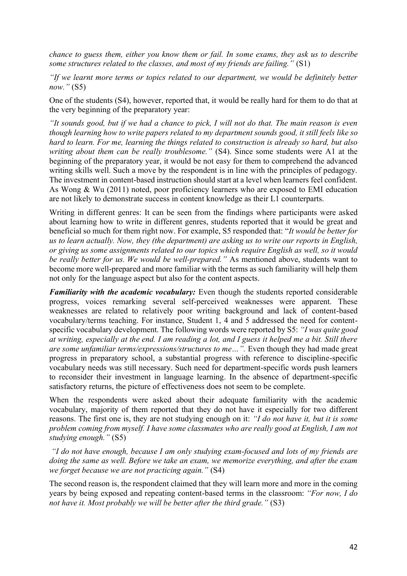*chance to guess them, either you know them or fail. In some exams, they ask us to describe some structures related to the classes, and most of my friends are failing."* (S1)

*"If we learnt more terms or topics related to our department, we would be definitely better now."* (S5)

One of the students (S4), however, reported that, it would be really hard for them to do that at the very beginning of the preparatory year:

*"It sounds good, but if we had a chance to pick, I will not do that. The main reason is even though learning how to write papers related to my department sounds good, it still feels like so hard to learn. For me, learning the things related to construction is already so hard, but also writing about them can be really troublesome."* (S4). Since some students were A1 at the beginning of the preparatory year, it would be not easy for them to comprehend the advanced writing skills well. Such a move by the respondent is in line with the principles of pedagogy. The investment in content-based instruction should start at a level when learners feel confident. As Wong & Wu (2011) noted, poor proficiency learners who are exposed to EMI education are not likely to demonstrate success in content knowledge as their L1 counterparts.

Writing in different genres: It can be seen from the findings where participants were asked about learning how to write in different genres, students reported that it would be great and beneficial so much for them right now. For example, S5 responded that: "*It would be better for us to learn actually. Now, they (the department) are asking us to write our reports in English, or giving us some assignments related to our topics which require English as well, so it would be really better for us. We would be well-prepared."* As mentioned above, students want to become more well-prepared and more familiar with the terms as such familiarity will help them not only for the language aspect but also for the content aspects.

*Familiarity with the academic vocabulary:* Even though the students reported considerable progress, voices remarking several self-perceived weaknesses were apparent. These weaknesses are related to relatively poor writing background and lack of content-based vocabulary/terms teaching. For instance, Student 1, 4 and 5 addressed the need for contentspecific vocabulary development. The following words were reported by S5: *"I was quite good at writing, especially at the end. I am reading a lot, and I guess it helped me a bit. Still there are some unfamiliar terms/expressions/structures to me…".* Even though they had made great progress in preparatory school, a substantial progress with reference to discipline-specific vocabulary needs was still necessary. Such need for department-specific words push learners to reconsider their investment in language learning. In the absence of department-specific satisfactory returns, the picture of effectiveness does not seem to be complete.

When the respondents were asked about their adequate familiarity with the academic vocabulary, majority of them reported that they do not have it especially for two different reasons. The first one is, they are not studying enough on it: *"I do not have it, but it is some problem coming from myself. I have some classmates who are really good at English, I am not studying enough."* (S5)

*"I do not have enough, because I am only studying exam-focused and lots of my friends are doing the same as well. Before we take an exam, we memorize everything, and after the exam we forget because we are not practicing again."* (S4)

The second reason is, the respondent claimed that they will learn more and more in the coming years by being exposed and repeating content-based terms in the classroom: *"For now, I do not have it. Most probably we will be better after the third grade."* (S3)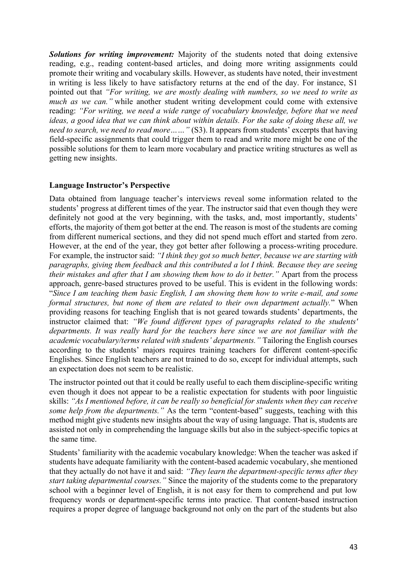*Solutions for writing improvement:* Majority of the students noted that doing extensive reading, e.g., reading content-based articles, and doing more writing assignments could promote their writing and vocabulary skills. However, as students have noted, their investment in writing is less likely to have satisfactory returns at the end of the day. For instance, S1 pointed out that *"For writing, we are mostly dealing with numbers, so we need to write as much as we can.*" while another student writing development could come with extensive reading: *"For writing, we need a wide range of vocabulary knowledge, before that we need ideas, a good idea that we can think about within details. For the sake of doing these all, we need to search, we need to read more* ... ... " (S3). It appears from students' excerpts that having field-specific assignments that could trigger them to read and write more might be one of the possible solutions for them to learn more vocabulary and practice writing structures as well as getting new insights.

## **Language Instructor's Perspective**

Data obtained from language teacher's interviews reveal some information related to the students' progress at different times of the year. The instructor said that even though they were definitely not good at the very beginning, with the tasks, and, most importantly, students' efforts, the majority of them got better at the end. The reason is most of the students are coming from different numerical sections, and they did not spend much effort and started from zero. However, at the end of the year, they got better after following a process-writing procedure. For example, the instructor said: *"I think they got so much better, because we are starting with paragraphs, giving them feedback and this contributed a lot I think. Because they are seeing their mistakes and after that I am showing them how to do it better.* "Apart from the process approach, genre-based structures proved to be useful. This is evident in the following words: "*Since I am teaching them basic English, I am showing them how to write e-mail, and some formal structures, but none of them are related to their own department actually.*" When providing reasons for teaching English that is not geared towards students' departments, the instructor claimed that: *"We found different types of paragraphs related to the students' departments. It was really hard for the teachers here since we are not familiar with the academic vocabulary/terms related with students' departments."* Tailoring the English courses according to the students' majors requires training teachers for different content-specific Englishes. Since English teachers are not trained to do so, except for individual attempts, such an expectation does not seem to be realistic.

The instructor pointed out that it could be really useful to each them discipline-specific writing even though it does not appear to be a realistic expectation for students with poor linguistic skills: *"As I mentioned before, it can be really so beneficial for students when they can receive some help from the departments."* As the term "content-based" suggests, teaching with this method might give students new insights about the way of using language. That is, students are assisted not only in comprehending the language skills but also in the subject-specific topics at the same time.

Students' familiarity with the academic vocabulary knowledge: When the teacher was asked if students have adequate familiarity with the content-based academic vocabulary, she mentioned that they actually do not have it and said: *"They learn the department-specific terms after they start taking departmental courses."* Since the majority of the students come to the preparatory school with a beginner level of English, it is not easy for them to comprehend and put low frequency words or department-specific terms into practice. That content-based instruction requires a proper degree of language background not only on the part of the students but also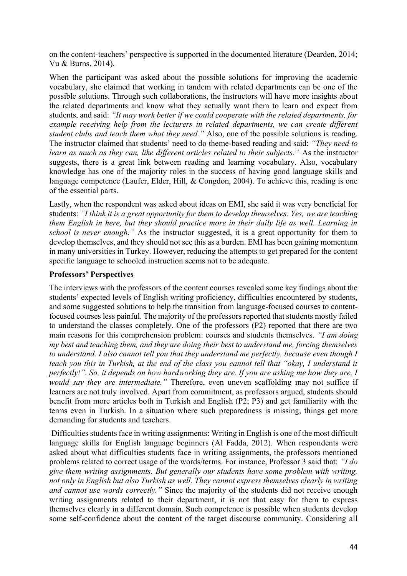on the content-teachers' perspective is supported in the documented literature (Dearden, 2014; Vu & Burns, 2014).

When the participant was asked about the possible solutions for improving the academic vocabulary, she claimed that working in tandem with related departments can be one of the possible solutions. Through such collaborations, the instructors will have more insights about the related departments and know what they actually want them to learn and expect from students, and said: *"It may work better if we could cooperate with the related departments, for example receiving help from the lecturers in related departments, we can create different student clubs and teach them what they need."* Also, one of the possible solutions is reading. The instructor claimed that students' need to do theme-based reading and said: *"They need to learn as much as they can, like different articles related to their subjects."* As the instructor suggests, there is a great link between reading and learning vocabulary. Also, vocabulary knowledge has one of the majority roles in the success of having good language skills and language competence (Laufer, Elder, Hill, & Congdon, 2004). To achieve this, reading is one of the essential parts.

Lastly, when the respondent was asked about ideas on EMI, she said it was very beneficial for students: *"I think it is a great opportunity for them to develop themselves. Yes, we are teaching them English in here, but they should practice more in their daily life as well. Learning in school is never enough."* As the instructor suggested, it is a great opportunity for them to develop themselves, and they should not see this as a burden. EMI has been gaining momentum in many universities in Turkey. However, reducing the attempts to get prepared for the content specific language to schooled instruction seems not to be adequate.

## **Professors' Perspectives**

The interviews with the professors of the content courses revealed some key findings about the students' expected levels of English writing proficiency, difficulties encountered by students, and some suggested solutions to help the transition from language-focused courses to contentfocused courses less painful. The majority of the professors reported that students mostly failed to understand the classes completely. One of the professors (P2) reported that there are two main reasons for this comprehension problem: courses and students themselves. *"I am doing my best and teaching them, and they are doing their best to understand me, forcing themselves to understand. I also cannot tell you that they understand me perfectly, because even though I teach you this in Turkish, at the end of the class you cannot tell that "okay, I understand it perfectly!". So, it depends on how hardworking they are. If you are asking me how they are, I would say they are intermediate."* Therefore, even uneven scaffolding may not suffice if learners are not truly involved. Apart from commitment, as professors argued, students should benefit from more articles both in Turkish and English (P2; P3) and get familiarity with the terms even in Turkish. In a situation where such preparedness is missing, things get more demanding for students and teachers.

Difficulties students face in writing assignments: Writing in English is one of the most difficult language skills for English language beginners (Al Fadda, 2012). When respondents were asked about what difficulties students face in writing assignments, the professors mentioned problems related to correct usage of the words/terms. For instance, Professor 3 said that: *"I do give them writing assignments. But generally our students have some problem with writing, not only in English but also Turkish as well. They cannot express themselves clearly in writing and cannot use words correctly."* Since the majority of the students did not receive enough writing assignments related to their department, it is not that easy for them to express themselves clearly in a different domain. Such competence is possible when students develop some self-confidence about the content of the target discourse community. Considering all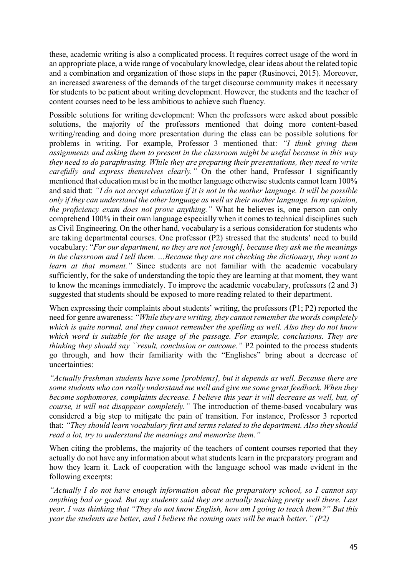these, academic writing is also a complicated process. It requires correct usage of the word in an appropriate place, a wide range of vocabulary knowledge, clear ideas about the related topic and a combination and organization of those steps in the paper (Rusinovci, 2015). Moreover, an increased awareness of the demands of the target discourse community makes it necessary for students to be patient about writing development. However, the students and the teacher of content courses need to be less ambitious to achieve such fluency.

Possible solutions for writing development: When the professors were asked about possible solutions, the majority of the professors mentioned that doing more content-based writing/reading and doing more presentation during the class can be possible solutions for problems in writing. For example, Professor 3 mentioned that: *"I think giving them assignments and asking them to present in the classroom might be useful because in this way they need to do paraphrasing. While they are preparing their presentations, they need to write carefully and express themselves clearly."* On the other hand, Professor 1 significantly mentioned that education must be in the mother language otherwise students cannot learn 100% and said that: *"I do not accept education if it is not in the mother language. It will be possible only if they can understand the other language as well as their mother language. In my opinion, the proficiency exam does not prove anything."* What he believes is, one person can only comprehend 100% in their own language especially when it comes to technical disciplines such as Civil Engineering. On the other hand, vocabulary is a serious consideration for students who are taking departmental courses. One professor (P2) stressed that the students' need to build vocabulary: "*For our department, no they are not [enough], because they ask me the meanings in the classroom and I tell them. …Because they are not checking the dictionary, they want to learn at that moment."* Since students are not familiar with the academic vocabulary sufficiently, for the sake of understanding the topic they are learning at that moment, they want to know the meanings immediately. To improve the academic vocabulary, professors (2 and 3) suggested that students should be exposed to more reading related to their department.

When expressing their complaints about students' writing, the professors (P1; P2) reported the need for genre awareness: *"While they are writing, they cannot remember the words completely which is quite normal, and they cannot remember the spelling as well. Also they do not know which word is suitable for the usage of the passage. For example, conclusions. They are thinking they should say ``result, conclusion or outcome.*" P2 pointed to the process students go through, and how their familiarity with the "Englishes" bring about a decrease of uncertainties:

*"Actually freshman students have some [problems], but it depends as well. Because there are some students who can really understand me well and give me some great feedback. When they become sophomores, complaints decrease. I believe this year it will decrease as well, but, of course, it will not disappear completely."* The introduction of theme-based vocabulary was considered a big step to mitigate the pain of transition. For instance, Professor 3 reported that: *"They should learn vocabulary first and terms related to the department. Also they should read a lot, try to understand the meanings and memorize them."* 

When citing the problems, the majority of the teachers of content courses reported that they actually do not have any information about what students learn in the preparatory program and how they learn it. Lack of cooperation with the language school was made evident in the following excerpts:

*"Actually I do not have enough information about the preparatory school, so I cannot say anything bad or good. But my students said they are actually teaching pretty well there. Last year, I was thinking that "They do not know English, how am I going to teach them?" But this year the students are better, and I believe the coming ones will be much better." (P2)*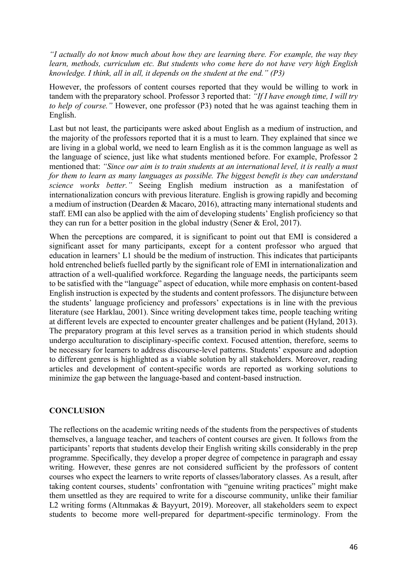*"I actually do not know much about how they are learning there. For example, the way they learn, methods, curriculum etc. But students who come here do not have very high English knowledge. I think, all in all, it depends on the student at the end." (P3)*

However, the professors of content courses reported that they would be willing to work in tandem with the preparatory school. Professor 3 reported that: *"If I have enough time, I will try to help of course."* However, one professor (P3) noted that he was against teaching them in English.

Last but not least, the participants were asked about English as a medium of instruction, and the majority of the professors reported that it is a must to learn. They explained that since we are living in a global world, we need to learn English as it is the common language as well as the language of science, just like what students mentioned before. For example, Professor 2 mentioned that: *"Since our aim is to train students at an international level, it is really a must for them to learn as many languages as possible. The biggest benefit is they can understand science works better."* Seeing English medium instruction as a manifestation of internationalization concurs with previous literature. English is growing rapidly and becoming a medium of instruction (Dearden & Macaro, 2016), attracting many international students and staff. EMI can also be applied with the aim of developing students' English proficiency so that they can run for a better position in the global industry (Sener & Erol, 2017).

When the perceptions are compared, it is significant to point out that EMI is considered a significant asset for many participants, except for a content professor who argued that education in learners' L1 should be the medium of instruction. This indicates that participants hold entrenched beliefs fuelled partly by the significant role of EMI in internationalization and attraction of a well-qualified workforce. Regarding the language needs, the participants seem to be satisfied with the "language" aspect of education, while more emphasis on content-based English instruction is expected by the students and content professors. The disjuncture between the students' language proficiency and professors' expectations is in line with the previous literature (see Harklau, 2001). Since writing development takes time, people teaching writing at different levels are expected to encounter greater challenges and be patient (Hyland, 2013). The preparatory program at this level serves as a transition period in which students should undergo acculturation to disciplinary-specific context. Focused attention, therefore, seems to be necessary for learners to address discourse-level patterns. Students' exposure and adoption to different genres is highlighted as a viable solution by all stakeholders. Moreover, reading articles and development of content-specific words are reported as working solutions to minimize the gap between the language-based and content-based instruction.

#### **CONCLUSION**

The reflections on the academic writing needs of the students from the perspectives of students themselves, a language teacher, and teachers of content courses are given. It follows from the participants' reports that students develop their English writing skills considerably in the prep programme. Specifically, they develop a proper degree of competence in paragraph and essay writing. However, these genres are not considered sufficient by the professors of content courses who expect the learners to write reports of classes/laboratory classes. As a result, after taking content courses, students' confrontation with "genuine writing practices" might make them unsettled as they are required to write for a discourse community, unlike their familiar L2 writing forms (Altınmakas & Bayyurt, 2019). Moreover, all stakeholders seem to expect students to become more well-prepared for department-specific terminology. From the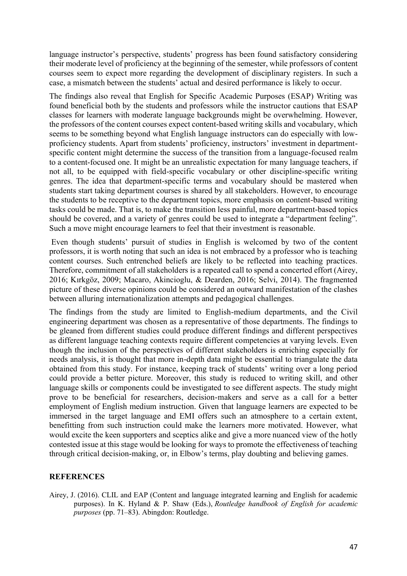language instructor's perspective, students' progress has been found satisfactory considering their moderate level of proficiency at the beginning of the semester, while professors of content courses seem to expect more regarding the development of disciplinary registers. In such a case, a mismatch between the students' actual and desired performance is likely to occur.

The findings also reveal that English for Specific Academic Purposes (ESAP) Writing was found beneficial both by the students and professors while the instructor cautions that ESAP classes for learners with moderate language backgrounds might be overwhelming. However, the professors of the content courses expect content-based writing skills and vocabulary, which seems to be something beyond what English language instructors can do especially with lowproficiency students. Apart from students' proficiency, instructors' investment in departmentspecific content might determine the success of the transition from a language-focused realm to a content-focused one. It might be an unrealistic expectation for many language teachers, if not all, to be equipped with field-specific vocabulary or other discipline-specific writing genres. The idea that department-specific terms and vocabulary should be mastered when students start taking department courses is shared by all stakeholders. However, to encourage the students to be receptive to the department topics, more emphasis on content-based writing tasks could be made. That is, to make the transition less painful, more department-based topics should be covered, and a variety of genres could be used to integrate a "department feeling". Such a move might encourage learners to feel that their investment is reasonable.

Even though students' pursuit of studies in English is welcomed by two of the content professors, it is worth noting that such an idea is not embraced by a professor who is teaching content courses. Such entrenched beliefs are likely to be reflected into teaching practices. Therefore, commitment of all stakeholders is a repeated call to spend a concerted effort (Airey, 2016; Kırkgöz, 2009; Macaro, Akincioglu, & Dearden, 2016; Selvi, 2014). The fragmented picture of these diverse opinions could be considered an outward manifestation of the clashes between alluring internationalization attempts and pedagogical challenges.

The findings from the study are limited to English-medium departments, and the Civil engineering department was chosen as a representative of those departments. The findings to be gleaned from different studies could produce different findings and different perspectives as different language teaching contexts require different competencies at varying levels. Even though the inclusion of the perspectives of different stakeholders is enriching especially for needs analysis, it is thought that more in-depth data might be essential to triangulate the data obtained from this study. For instance, keeping track of students' writing over a long period could provide a better picture. Moreover, this study is reduced to writing skill, and other language skills or components could be investigated to see different aspects. The study might prove to be beneficial for researchers, decision-makers and serve as a call for a better employment of English medium instruction. Given that language learners are expected to be immersed in the target language and EMI offers such an atmosphere to a certain extent, benefitting from such instruction could make the learners more motivated. However, what would excite the keen supporters and sceptics alike and give a more nuanced view of the hotly contested issue at this stage would be looking for ways to promote the effectiveness of teaching through critical decision-making, or, in Elbow's terms, play doubting and believing games.

## **REFERENCES**

Airey, J. (2016). CLIL and EAP (Content and language integrated learning and English for academic purposes). In K. Hyland & P. Shaw (Eds.), *Routledge handbook of English for academic purposes* (pp. 71–83). Abingdon: Routledge.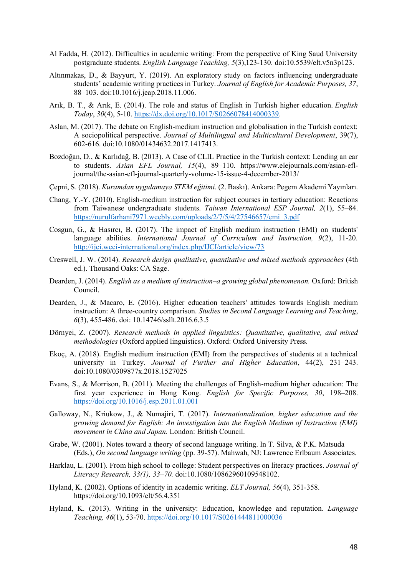- Al Fadda, H. (2012). Difficulties in academic writing: From the perspective of King Saud University postgraduate students. *English Language Teaching, 5*(3),123-130. doi:10.5539/elt.v5n3p123.
- Altınmakas, D., & Bayyurt, Y. (2019). An exploratory study on factors influencing undergraduate students' academic writing practices in Turkey. *Journal of English for Academic Purposes, 37*, 88–103. doi:10.1016/j.jeap.2018.11.006.
- Arık, B. T., & Arık, E. (2014). The role and status of English in Turkish higher education. *English Today*, *30*(4), 5-10. [https://dx.doi.org/10.1017/S0266078414000339.](https://dx.doi.org/10.1017/S0266078414000339)
- Aslan, M. (2017). The debate on English-medium instruction and globalisation in the Turkish context: A sociopolitical perspective. *Journal of Multilingual and Multicultural Development*, 39(7), 602-616. doi:10.1080/01434632.2017.1417413.
- Bozdoğan, D., & Karlıdağ, B. (2013). A Case of CLIL Practice in the Turkish context: Lending an ear to students. *Asian EFL Journal, 15*(4), 89–110. https://www.elejournals.com/asian-efljournal/the-asian-efl-journal-quarterly-volume-15-issue-4-december-2013/
- Çepni, S. (2018). *Kuramdan uygulamaya STEM eğitimi*. (2. Baskı). Ankara: Pegem Akademi Yayınları.
- Chang, Y.-Y. (2010). English-medium instruction for subject courses in tertiary education: Reactions from Taiwanese undergraduate students. *Taiwan International ESP Journal, 2*(1), 55–84. [https://nurulfarhani7971.weebly.com/uploads/2/7/5/4/27546657/emi\\_3.pdf](https://nurulfarhani7971.weebly.com/uploads/2/7/5/4/27546657/emi_3.pdf)
- Cosgun, G., & Hasırcı, B. (2017). The impact of English medium instruction (EMI) on students' language abilities. *International Journal of Curriculum and Instruction, 9*(2), 11-20. <http://ijci.wcci-international.org/index.php/IJCI/article/view/73>
- Creswell, J. W. (2014). *Research design qualitative, quantitative and mixed methods approaches* (4th ed.). Thousand Oaks: CA Sage.
- Dearden, J. (2014). *English as a medium of instruction–a growing global phenomenon.* Oxford: British Council.
- Dearden, J., & Macaro, E. (2016). Higher education teachers' attitudes towards English medium instruction: A three-country comparison. *Studies in Second Language Learning and Teaching*, *6*(3), 455-486. doi: 10.14746/ssllt.2016.6.3.5
- Dörnyei, Z. (2007). *Research methods in applied linguistics: Quantitative, qualitative, and mixed methodologies* (Oxford applied linguistics). Oxford: Oxford University Press.
- Ekoç, A. (2018). English medium instruction (EMI) from the perspectives of students at a technical university in Turkey. *Journal of Further and Higher Education*, 44(2), 231–243. doi:10.1080/0309877x.2018.1527025
- Evans, S., & Morrison, B. (2011). Meeting the challenges of English-medium higher education: The first year experience in Hong Kong. *English for Specific Purposes, 30*, 198–208. <https://doi.org/10.1016/j.esp.2011.01.001>
- Galloway, N., Kriukow, J., & Numajiri, T. (2017). *Internationalisation, higher education and the growing demand for English: An investigation into the English Medium of Instruction (EMI) movement in China and Japan.* London: British Council.
- Grabe, W. (2001). Notes toward a theory of second language writing. In T. Silva, & P.K. Matsuda (Eds.), *On second language writing* (pp. 39-57). Mahwah, NJ: Lawrence Erlbaum Associates.
- Harklau, L. (2001). From high school to college: Student perspectives on literacy practices. *Journal of Literacy Research, 33(1), 33–70.* doi[:10.1080/10862960109548102.](https://doi.org/10.1080/10862960109548102)
- Hyland, K. (2002). Options of identity in academic writing. *ELT Journal, 56*(4), 351-358. <https://doi.org/10.1093/elt/56.4.351>
- Hyland, K. (2013). Writing in the university: Education, knowledge and reputation. *Language Teaching, 46*(1), 53-70.<https://doi.org/10.1017/S0261444811000036>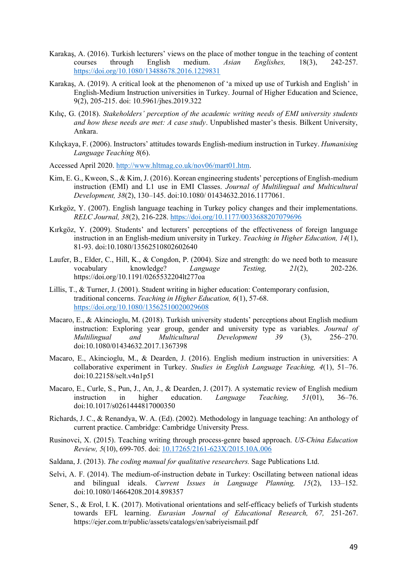- Karakaş, A. (2016). Turkish lecturers' views on the place of mother tongue in the teaching of content courses through English medium. *Asian Englishes,* 18(3), 242-257. <https://doi.org/10.1080/13488678.2016.1229831>
- Karakaş, A. (2019). A critical look at the phenomenon of 'a mixed up use of Turkish and English' in English-Medium Instruction universities in Turkey. Journal of Higher Education and Science, 9(2), 205-215. doi: 10.5961/jhes.2019.322
- Kılıç, G. (2018). *Stakeholders' perception of the academic writing needs of EMI university students and how these needs are met: A case study*. Unpublished master's thesis. Bilkent University, Ankara.
- Kılıçkaya, F. (2006). Instructors' attitudes towards English-medium instruction in Turkey. *Humanising Language Teaching 8*(6).
- Accessed April 2020. [http://www.hltmag.co.uk/nov06/mart01.htm.](http://www.hltmag.co.uk/nov06/mart01.htm)
- Kim, E. G., Kweon, S., & Kim, J. (2016). Korean engineering students' perceptions of English-medium instruction (EMI) and L1 use in EMI Classes. *Journal of Multilingual and Multicultural Development, 38*(2), 130–145. doi:10.1080/ 01434632.2016.1177061.
- Kırkgöz, Y. (2007). English language teaching in Turkey policy changes and their implementations. *RELC Journal, 38*(2), 216-228.<https://doi.org/10.1177/0033688207079696>
- Kırkgöz, Y. (2009). Students' and lecturers' perceptions of the effectiveness of foreign language instruction in an English-medium university in Turkey. *Teaching in Higher Education, 14*(1), 81-93. doi:10.1080/13562510802602640
- Laufer, B., Elder, C., Hill, K., & Congdon, P. (2004). Size and strength: do we need both to measure vocabulary knowledge? *Language Testing, 21*(2), 202-226[.](https://doi.org/10.1191/0265532204lt277oa) <https://doi.org/10.1191/0265532204lt277oa>
- Lillis, T., & Turner, J. (2001). Student writing in higher education: Contemporary confusion, traditional concerns. *Teaching in Higher Education, 6*(1), 57-68. <https://doi.org/10.1080/13562510020029608>
- Macaro, E., & Akincioglu, M. (2018). Turkish university students' perceptions about English medium instruction: Exploring year group, gender and university type as variables. *Journal of Multilingual and Multicultural Development 39* (3), 256–270. doi:10.1080/01434632.2017.1367398
- Macaro, E., Akincioglu, M., & Dearden, J. (2016). English medium instruction in universities: A collaborative experiment in Turkey. *Studies in English Language Teaching, 4*(1), 51–76. doi:10.22158/selt.v4n1p51
- Macaro, E., Curle, S., Pun, J., An, J., & Dearden, J. (2017). A systematic review of English medium instruction in higher education. *Language Teaching, 51*(01), 36–76. doi:10.1017/s0261444817000350
- Richards, J. C., & Renandya, W. A. (Ed). (2002). Methodology in language teaching: An anthology of current practice. Cambridge: Cambridge University Press.
- Rusinovci, X. (2015). Teaching writing through process-genre based approach. *US-China Education Review, 5*(10), 699-705. doi: [10.17265/2161-623X/2015.10A.006](https://www.researchgate.net/deref/http%3A%2F%2Fdx.doi.org%2F10.17265%2F2161-623X%2F2015.10A.006)
- Saldana, J. (2013). *The coding manual for qualitative researchers.* Sage Publications Ltd.
- Selvi, A. F. (2014). The medium-of-instruction debate in Turkey: Oscillating between national ideas and bilingual ideals. *Current Issues in Language Planning, 15*(2), 133–152. doi:10.1080/14664208.2014.898357
- Sener, S., & Erol, I. K. (2017). Motivational orientations and self-efficacy beliefs of Turkish students towards EFL learning. *Eurasian Journal of Educational Research, 67,* 251-267. https://ejer.com.tr/public/assets/catalogs/en/sabriyeismail.pdf